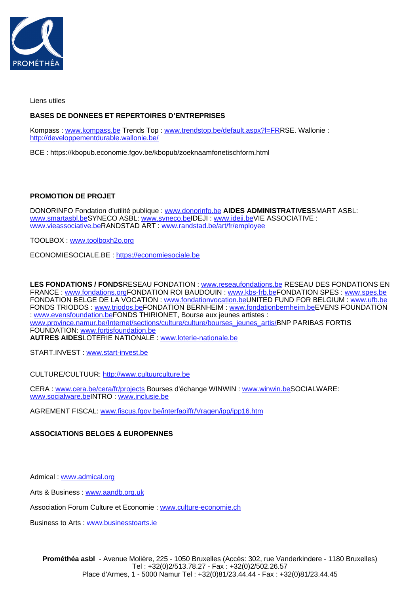

Liens utiles

## **BASES DE DONNEES ET REPERTOIRES D'ENTREPRISES**

Kompass : [www.kompass.be](http://www.kompass.be) Trends Top : [www.trendstop.be/default.aspx?l=FRR](http://www.trendstop.be/default.aspx?l=FR)SE. Wallonie : <http://developpementdurable.wallonie.be/>

BCE : https://kbopub.economie.fgov.be/kbopub/zoeknaamfonetischform.html

**PROMOTION DE PROJET**

DONORINFO Fondation d'utilité publique : [www.donorinfo.be](http://www.donorinfo.be) **AIDES ADMINISTRATIVES**SMART ASBL: [www.smartasbl.be](http://www.smartasbl.be)SYNECO ASBL: [www.syneco.be](http://www.syneco.be)IDEJI : [www.ideji.be](http://www.ideji.be)VIE ASSOCIATIVE : [www.vieassociative.be](http://www.vieassociative.be)RANDSTAD ART : [www.randstad.be/art/fr/employee](http://www.randstad.be/art/fr/employee/)

TOOLBOX : [www.toolboxh2o.org](http://www.toolboxh2o.org)

ECONOMIESOCIALE.BE : [https://economiesociale.be](https://economiesociale.be/)

**LES FONDATIONS / FONDS**RESEAU FONDATION : [www.reseaufondations.be](http://www.reseaufondations.be) RESEAU DES FONDATIONS EN FRANCE : [www.fondations.orgF](http://www.fondations.org)ONDATION ROI BAUDOUIN : [www.kbs-frb.be](http://www.kbs-frb.be)FONDATION SPES : [www.spes.be](http://www.spes.be) FONDATION BELGE DE LA VOCATION : [www.fondationvocation.be](http://www.fondationvocation.be)UNITED FUND FOR BELGIUM : [www.ufb.be](http://www.ufb.be) FONDS TRIODOS : [www.triodos.beF](http://www.triodos.be)ONDATION BERNHEIM : [www.fondationbernheim.be](http://www.fondationbernheim.be)EVENS FOUNDATION : [www.evensfoundation.beF](http://www.evensfoundation.be)ONDS THIRIONET, Bourse aux jeunes artistes : [www.province.namur.be/Internet/sections/culture/culture/bourses\\_jeunes\\_artis/](http://www.province.namur.be/Internet/sections/culture/culture/bourses_jeunes_artis/)BNP PARIBAS FORTIS FOUNDATION: [www.fortisfoundation.be](http://www.fortisfoundation.be)

**AUTRES AIDES**LOTERIE NATIONALE : [www.loterie-nationale.be](http://www.loterie-nationale.be)

START.INVEST : [www.start-invest.be](http://www.start-invest.be)

CULTURE/CULTUUR: [http://www.cultuurculture.be](http://www.cultuurculture.be/)

CERA : [www.cera.be/cera/fr/projects](http://www.cera.be/cera/fr/projects) Bourses d'échange WINWIN : [www.winwin.beS](http://www.winwin.be)OCIALWARE: [www.socialware.be](http://www.socialware.be)INTRO : [www.inclusie.be](http://www.inclusie.be)

AGREMENT FISCAL: [www.fiscus.fgov.be/interfaoiffr/Vragen/ipp/ipp16.htm](http://www.fiscus.fgov.be/interfaoiffr/Vragen/ipp/ipp16.htm)

## **ASSOCIATIONS BELGES & EUROPENNES**

Admical : [www.admical.org](http://www.admical.org)

Arts & Business : [www.aandb.org.uk](http://www.aandb.org.uk)

Association Forum Culture et Economie : [www.culture-economie.ch](http://www.culture-economie.ch)

Business to Arts : [www.businesstoarts.ie](http://www.business2arts.ie)